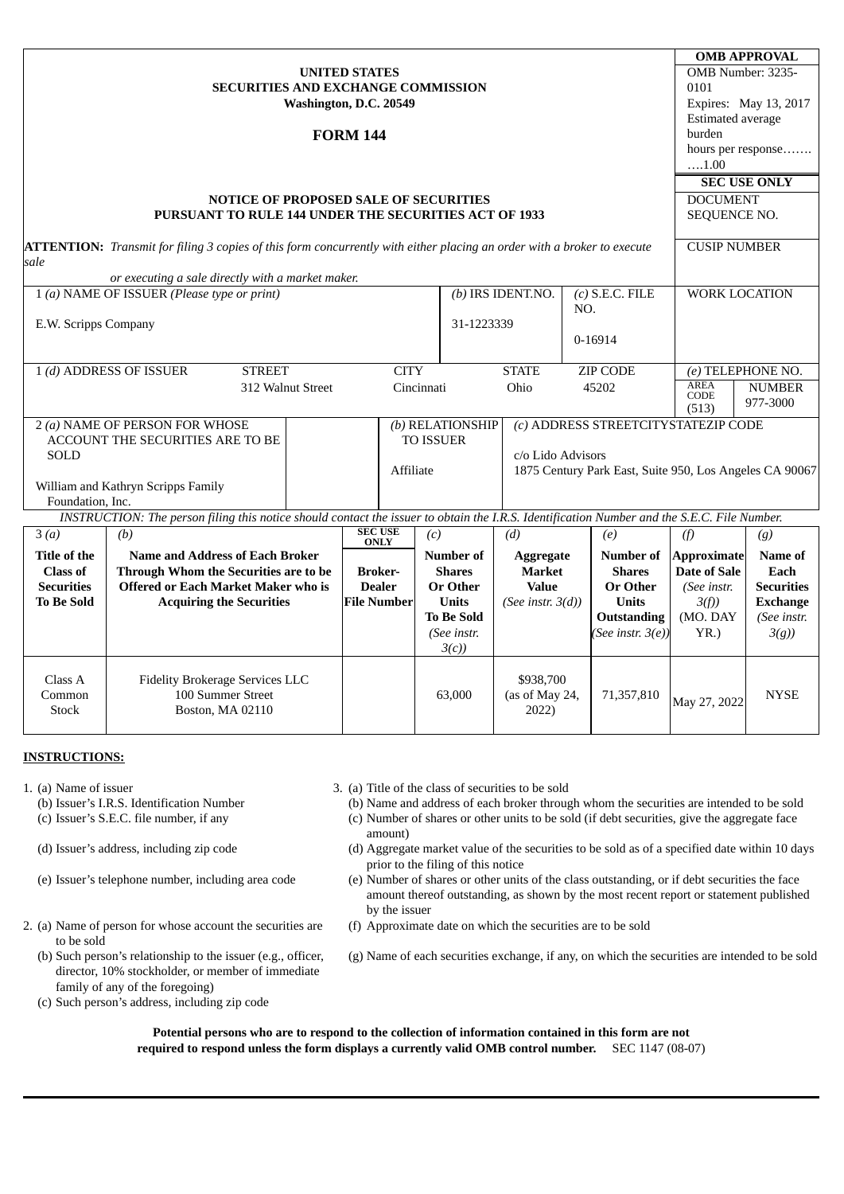|                                                                                                  |                                                                                                                                             |                 |                                 |                  |                                     |                        |                   | <b>OMB APPROVAL</b>                                     |                       |                          |  |
|--------------------------------------------------------------------------------------------------|---------------------------------------------------------------------------------------------------------------------------------------------|-----------------|---------------------------------|------------------|-------------------------------------|------------------------|-------------------|---------------------------------------------------------|-----------------------|--------------------------|--|
| <b>UNITED STATES</b>                                                                             |                                                                                                                                             |                 |                                 |                  |                                     |                        |                   |                                                         | OMB Number: 3235-     |                          |  |
|                                                                                                  | <b>SECURITIES AND EXCHANGE COMMISSION</b>                                                                                                   |                 |                                 |                  |                                     |                        |                   |                                                         | 0101                  |                          |  |
| Washington, D.C. 20549                                                                           |                                                                                                                                             |                 |                                 |                  |                                     |                        |                   |                                                         | Expires: May 13, 2017 |                          |  |
|                                                                                                  |                                                                                                                                             |                 |                                 |                  |                                     |                        |                   |                                                         |                       | <b>Estimated average</b> |  |
|                                                                                                  |                                                                                                                                             | <b>FORM 144</b> |                                 |                  |                                     |                        |                   |                                                         |                       | burden                   |  |
|                                                                                                  |                                                                                                                                             |                 |                                 |                  |                                     |                        |                   |                                                         | hours per response    |                          |  |
|                                                                                                  |                                                                                                                                             |                 |                                 |                  |                                     |                        |                   |                                                         | $\dots 1.00$          |                          |  |
|                                                                                                  |                                                                                                                                             |                 |                                 |                  |                                     |                        |                   |                                                         | <b>SEC USE ONLY</b>   |                          |  |
|                                                                                                  | NOTICE OF PROPOSED SALE OF SECURITIES                                                                                                       |                 |                                 |                  |                                     |                        |                   |                                                         | <b>DOCUMENT</b>       |                          |  |
|                                                                                                  | <b>PURSUANT TO RULE 144 UNDER THE SECURITIES ACT OF 1933</b>                                                                                |                 |                                 |                  |                                     |                        |                   |                                                         | SEQUENCE NO.          |                          |  |
|                                                                                                  |                                                                                                                                             |                 |                                 |                  |                                     |                        |                   |                                                         |                       |                          |  |
|                                                                                                  | <b>ATTENTION:</b> Transmit for filing 3 copies of this form concurrently with either placing an order with a broker to execute              |                 |                                 |                  |                                     |                        |                   |                                                         |                       | <b>CUSIP NUMBER</b>      |  |
|                                                                                                  | sale                                                                                                                                        |                 |                                 |                  |                                     |                        |                   |                                                         |                       |                          |  |
| or executing a sale directly with a market maker.<br>1 (a) NAME OF ISSUER (Please type or print) |                                                                                                                                             |                 |                                 |                  | (b) IRS IDENT.NO.                   |                        | $(c)$ S.E.C. FILE | <b>WORK LOCATION</b>                                    |                       |                          |  |
|                                                                                                  |                                                                                                                                             |                 |                                 |                  |                                     |                        | NO.               |                                                         |                       |                          |  |
| E.W. Scripps Company                                                                             |                                                                                                                                             |                 |                                 |                  | 31-1223339                          |                        |                   |                                                         |                       |                          |  |
|                                                                                                  |                                                                                                                                             |                 |                                 |                  |                                     |                        |                   | 0-16914                                                 |                       |                          |  |
|                                                                                                  |                                                                                                                                             |                 |                                 |                  |                                     |                        |                   |                                                         |                       |                          |  |
| 1 (d) ADDRESS OF ISSUER<br><b>STREET</b>                                                         |                                                                                                                                             |                 | <b>CITY</b>                     |                  |                                     | <b>STATE</b>           |                   | <b>ZIP CODE</b>                                         | (e) TELEPHONE NO.     |                          |  |
| 312 Walnut Street                                                                                |                                                                                                                                             |                 | Cincinnati                      |                  |                                     | Ohio                   |                   | 45202                                                   | <b>AREA</b>           | <b>NUMBER</b>            |  |
|                                                                                                  |                                                                                                                                             |                 |                                 |                  |                                     |                        |                   |                                                         | CODE<br>(513)         | 977-3000                 |  |
|                                                                                                  | 2 (a) NAME OF PERSON FOR WHOSE                                                                                                              |                 |                                 | (b) RELATIONSHIP | (c) ADDRESS STREETCITYSTATEZIP CODE |                        |                   |                                                         |                       |                          |  |
| ACCOUNT THE SECURITIES ARE TO BE                                                                 |                                                                                                                                             |                 | <b>TO ISSUER</b>                |                  |                                     |                        |                   |                                                         |                       |                          |  |
| <b>SOLD</b>                                                                                      |                                                                                                                                             |                 |                                 |                  | c/o Lido Advisors                   |                        |                   |                                                         |                       |                          |  |
|                                                                                                  |                                                                                                                                             |                 | Affiliate                       |                  |                                     |                        |                   | 1875 Century Park East, Suite 950, Los Angeles CA 90067 |                       |                          |  |
| William and Kathryn Scripps Family                                                               |                                                                                                                                             |                 |                                 |                  |                                     |                        |                   |                                                         |                       |                          |  |
| Foundation, Inc.                                                                                 |                                                                                                                                             |                 |                                 |                  |                                     |                        |                   |                                                         |                       |                          |  |
|                                                                                                  | INSTRUCTION: The person filing this notice should contact the issuer to obtain the I.R.S. Identification Number and the S.E.C. File Number. |                 |                                 |                  |                                     |                        |                   |                                                         |                       |                          |  |
| 3(a)                                                                                             | (b)                                                                                                                                         |                 | <b>SEC USE</b><br><b>ONLY</b>   | (c)              |                                     | (d)                    |                   | (e)                                                     | (f)                   | (g)                      |  |
| Title of the                                                                                     | <b>Name and Address of Each Broker</b>                                                                                                      |                 |                                 |                  | <b>Number of</b>                    | <b>Aggregate</b>       |                   | Number of                                               | <b>Approximate</b>    | Name of                  |  |
| Class of                                                                                         | Through Whom the Securities are to be<br><b>Securities</b><br><b>Offered or Each Market Maker who is</b>                                    |                 | <b>Broker-</b><br><b>Dealer</b> |                  | <b>Shares</b>                       | Market<br><b>Value</b> |                   | <b>Shares</b>                                           | <b>Date of Sale</b>   | Each                     |  |
|                                                                                                  |                                                                                                                                             |                 |                                 |                  | <b>Or Other</b>                     |                        |                   | <b>Or Other</b>                                         | (See instr.           | <b>Securities</b>        |  |
| <b>To Be Sold</b>                                                                                | <b>Acquiring the Securities</b>                                                                                                             |                 | <b>File Number</b>              |                  | <b>Units</b>                        | (See instr. $3(d)$ )   |                   | <b>Units</b>                                            | 3(f)                  | <b>Exchange</b>          |  |
|                                                                                                  |                                                                                                                                             |                 |                                 |                  | <b>To Be Sold</b>                   |                        |                   | <b>Outstanding</b>                                      | (MO. DAY              | (See instr.              |  |
|                                                                                                  |                                                                                                                                             |                 |                                 |                  | (See instr.                         |                        |                   | (See instr. $3(e)$ )                                    | YR.                   | 3(g)                     |  |
|                                                                                                  |                                                                                                                                             |                 |                                 |                  | 3(c)                                |                        |                   |                                                         |                       |                          |  |
| Class A                                                                                          | <b>Fidelity Brokerage Services LLC</b>                                                                                                      |                 |                                 |                  |                                     | \$938,700              |                   |                                                         |                       |                          |  |
| 100 Summer Street<br>Common                                                                      |                                                                                                                                             |                 |                                 | 63,000           |                                     | (as of May 24,         |                   | 71,357,810                                              |                       | <b>NYSE</b>              |  |
| <b>Stock</b><br>Boston, MA 02110                                                                 |                                                                                                                                             |                 |                                 |                  |                                     | 2022)                  |                   |                                                         | May 27, 2022          |                          |  |
|                                                                                                  |                                                                                                                                             |                 |                                 |                  |                                     |                        |                   |                                                         |                       |                          |  |

# **INSTRUCTIONS:**

- -
	-
	-
	-
- 2. (a) Name of person for whose account the securities are to be sold
	- (b) Such person's relationship to the issuer (e.g., officer, director, 10% stockholder, or member of immediate family of any of the foregoing)
	- (c) Such person's address, including zip code

1. (a) Name of issuer 3. (a) Title of the class of securities to be sold

(b) Issuer's I.R.S. Identification Number (b) Name and address of each broker through whom the securities are intended to be sold (c) Issuer's S.E.C. file number, if any (c) Number of shares or other units to be sold (if debt securities, give the aggregate face amount)

- (d) Issuer's address, including zip code (d) Aggregate market value of the securities to be sold as of a specified date within 10 days prior to the filing of this notice
- (e) Issuer's telephone number, including area code (e) Number of shares or other units of the class outstanding, or if debt securities the face amount thereof outstanding, as shown by the most recent report or statement published by the issuer
	- (f) Approximate date on which the securities are to be sold

(g) Name of each securities exchange, if any, on which the securities are intended to be sold

**Potential persons who are to respond to the collection of information contained in this form are not required to respond unless the form displays a currently valid OMB control number.** SEC 1147 (08-07)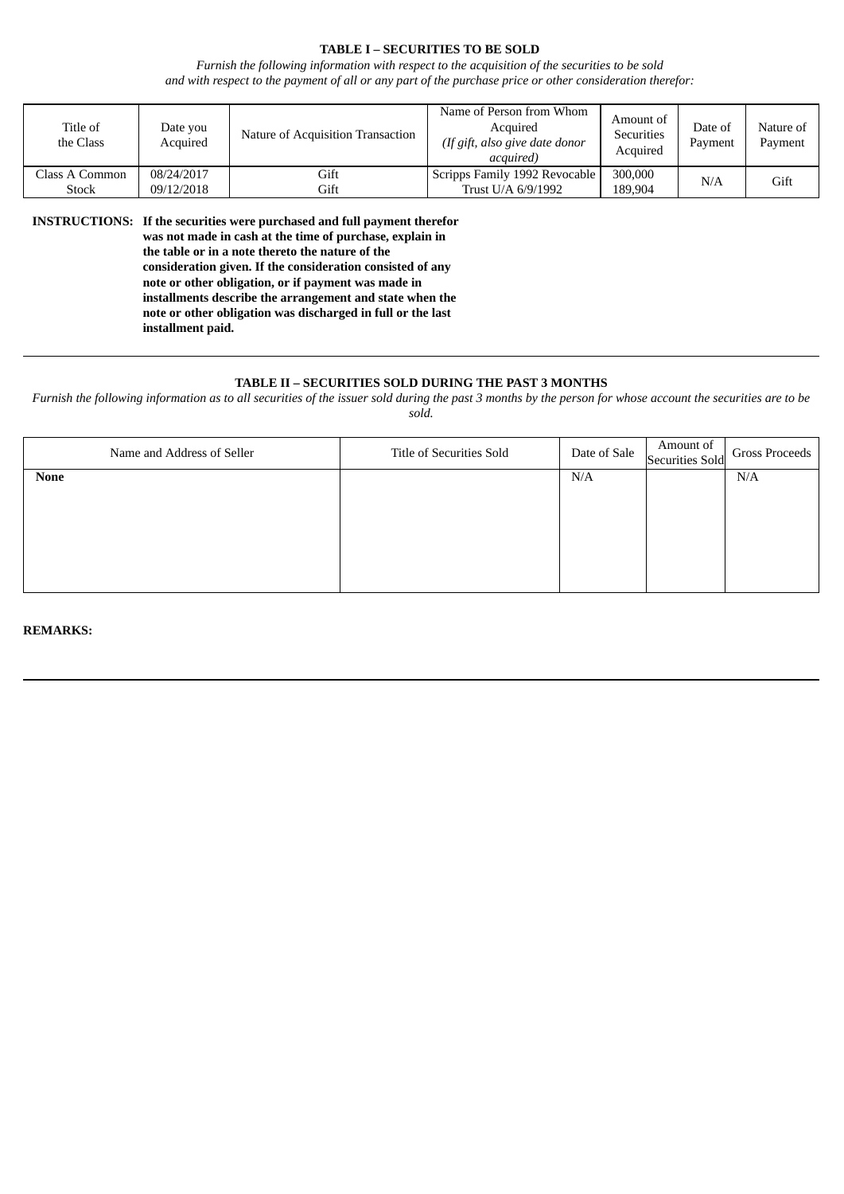## **TABLE I – SECURITIES TO BE SOLD**

*Furnish the following information with respect to the acquisition of the securities to be sold* and with respect to the payment of all or any part of the purchase price or other consideration therefor:

| Title of<br>the Class          | Date you<br>Acquired     | Nature of Acquisition Transaction | Name of Person from Whom<br>Acquired<br>(If gift, also give date donor<br>acauired) | Amount of<br><b>Securities</b><br>Acquired | Date of<br>Payment | Nature of<br>Payment |
|--------------------------------|--------------------------|-----------------------------------|-------------------------------------------------------------------------------------|--------------------------------------------|--------------------|----------------------|
| Class A Common<br><b>Stock</b> | 08/24/2017<br>09/12/2018 | Gift<br>Gift                      | Scripps Family 1992 Revocable<br>Trust U/A 6/9/1992                                 | 300,000<br>189,904                         | N/A                | Gift                 |

**INSTRUCTIONS: If the securities were purchased and full payment therefor was not made in cash at the time of purchase, explain in the table or in a note thereto the nature of the consideration given. If the consideration consisted of any note or other obligation, or if payment was made in installments describe the arrangement and state when the note or other obligation was discharged in full or the last installment paid.**

#### **TABLE II – SECURITIES SOLD DURING THE PAST 3 MONTHS**

Furnish the following information as to all securities of the issuer sold during the past 3 months by the person for whose account the securities are to be

| Name and Address of Seller | Title of Securities Sold | Date of Sale | Amount of<br>Securities Sold | Gross Proceeds |
|----------------------------|--------------------------|--------------|------------------------------|----------------|
| <b>None</b>                |                          | N/A          |                              | N/A            |
|                            |                          |              |                              |                |
|                            |                          |              |                              |                |
|                            |                          |              |                              |                |
|                            |                          |              |                              |                |
|                            |                          |              |                              |                |

**REMARKS:**

*sold.*